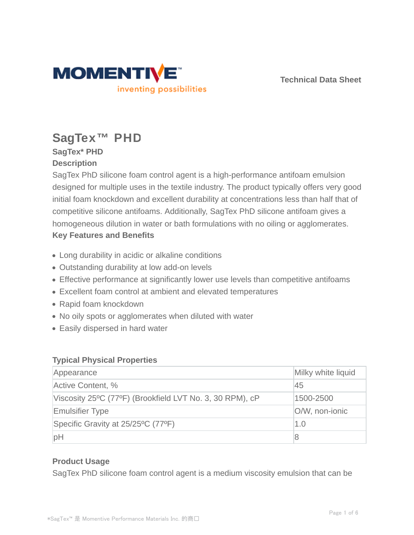

**Technical Data Sheet**

# **SagTex™ PHD**

## **SagTex\* PHD Description**

SagTex PhD silicone foam control agent is a high-performance antifoam emulsion designed for multiple uses in the textile industry. The product typically offers very good initial foam knockdown and excellent durability at concentrations less than half that of competitive silicone antifoams. Additionally, SagTex PhD silicone antifoam gives a homogeneous dilution in water or bath formulations with no oiling or agglomerates. **Key Features and Benefits**

- Long durability in acidic or alkaline conditions
- Outstanding durability at low add-on levels
- Effective performance at significantly lower use levels than competitive antifoams
- Excellent foam control at ambient and elevated temperatures
- Rapid foam knockdown
- No oily spots or agglomerates when diluted with water
- Easily dispersed in hard water

## **Typical Physical Properties**

| Appearance                                               | Milky white liquid |
|----------------------------------------------------------|--------------------|
| Active Content, %                                        | 45                 |
| Viscosity 25°C (77°F) (Brookfield LVT No. 3, 30 RPM), cP | 1500-2500          |
| <b>Emulsifier Type</b>                                   | O/W, non-ionic     |
| Specific Gravity at 25/25°C (77°F)                       | 1.0                |
| рH                                                       | 8                  |

## **Product Usage**

SagTex PhD silicone foam control agent is a medium viscosity emulsion that can be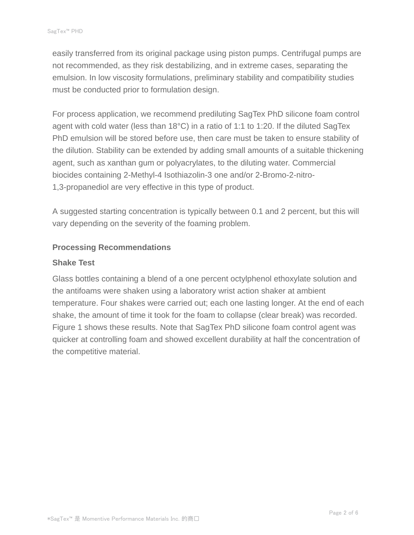easily transferred from its original package using piston pumps. Centrifugal pumps are not recommended, as they risk destabilizing, and in extreme cases, separating the emulsion. In low viscosity formulations, preliminary stability and compatibility studies must be conducted prior to formulation design.

For process application, we recommend prediluting SagTex PhD silicone foam control agent with cold water (less than 18°C) in a ratio of 1:1 to 1:20. If the diluted SagTex PhD emulsion will be stored before use, then care must be taken to ensure stability of the dilution. Stability can be extended by adding small amounts of a suitable thickening agent, such as xanthan gum or polyacrylates, to the diluting water. Commercial biocides containing 2-Methyl-4 Isothiazolin-3 one and/or 2-Bromo-2-nitro-1,3-propanediol are very effective in this type of product.

A suggested starting concentration is typically between 0.1 and 2 percent, but this will vary depending on the severity of the foaming problem.

#### **Processing Recommendations**

#### **Shake Test**

Glass bottles containing a blend of a one percent octylphenol ethoxylate solution and the antifoams were shaken using a laboratory wrist action shaker at ambient temperature. Four shakes were carried out; each one lasting longer. At the end of each shake, the amount of time it took for the foam to collapse (clear break) was recorded. Figure 1 shows these results. Note that SagTex PhD silicone foam control agent was quicker at controlling foam and showed excellent durability at half the concentration of the competitive material.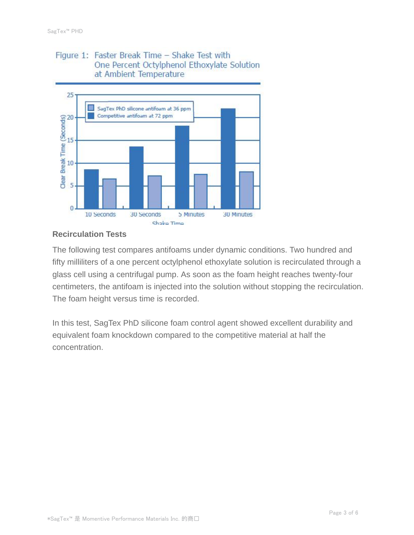## Figure 1: Faster Break Time - Shake Test with One Percent Octylphenol Ethoxylate Solution at Ambient Temperature



## **Recirculation Tests**

The following test compares antifoams under dynamic conditions. Two hundred and fifty milliliters of a one percent octylphenol ethoxylate solution is recirculated through a glass cell using a centrifugal pump. As soon as the foam height reaches twenty-four centimeters, the antifoam is injected into the solution without stopping the recirculation. The foam height versus time is recorded.

In this test, SagTex PhD silicone foam control agent showed excellent durability and equivalent foam knockdown compared to the competitive material at half the concentration.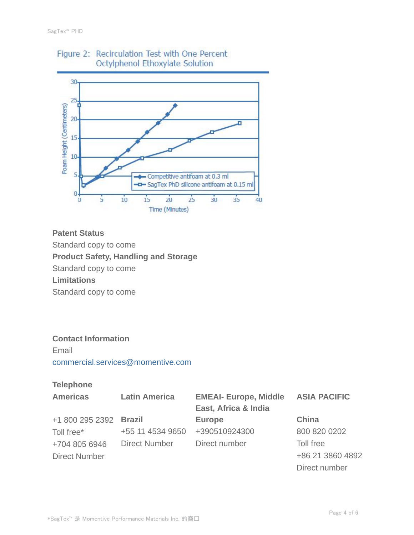

# Figure 2: Recirculation Test with One Percent Octylphenol Ethoxylate Solution

## **Patent Status**

Standard copy to come

**Product Safety, Handling and Storage**

Standard copy to come

**Limitations**

Standard copy to come

## **Contact Information**

Email commercial.services@momentive.com

## **Telephone**

| <b>Americas</b>        | <b>Latin America</b> | <b>EMEAI- Europe, Middle</b> | <b>ASIA PACIFIC</b> |
|------------------------|----------------------|------------------------------|---------------------|
|                        |                      | East, Africa & India         |                     |
| +1 800 295 2392 Brazil |                      | <b>Europe</b>                | <b>China</b>        |
| Toll free*             | +55 11 4534 9650     | +390510924300                | 800 820 0202        |
| +704 805 6946          | <b>Direct Number</b> | Direct number                | Toll free           |
| <b>Direct Number</b>   |                      |                              | +86 21 3860 4892    |
|                        |                      |                              | Direct number       |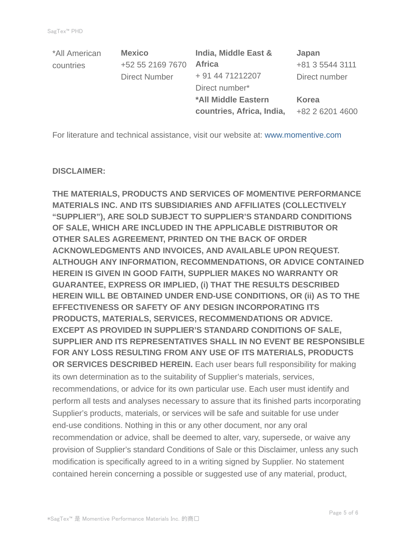| *All American | <b>Mexico</b>        | India, Middle East &       | Japan           |
|---------------|----------------------|----------------------------|-----------------|
| countries     | +52 55 2169 7670     | <b>Africa</b>              | +81 3 5544 3111 |
|               | <b>Direct Number</b> | + 91 44 71212207           | Direct number   |
|               |                      | Direct number*             |                 |
|               |                      | <b>*All Middle Eastern</b> | Korea           |
|               |                      | countries, Africa, India,  | +82 2 6201 4600 |

For literature and technical assistance, visit our website at: www.momentive.com

#### **DISCLAIMER:**

**THE MATERIALS, PRODUCTS AND SERVICES OF MOMENTIVE PERFORMANCE MATERIALS INC. AND ITS SUBSIDIARIES AND AFFILIATES (COLLECTIVELY "SUPPLIER"), ARE SOLD SUBJECT TO SUPPLIER'S STANDARD CONDITIONS OF SALE, WHICH ARE INCLUDED IN THE APPLICABLE DISTRIBUTOR OR OTHER SALES AGREEMENT, PRINTED ON THE BACK OF ORDER ACKNOWLEDGMENTS AND INVOICES, AND AVAILABLE UPON REQUEST. ALTHOUGH ANY INFORMATION, RECOMMENDATIONS, OR ADVICE CONTAINED HEREIN IS GIVEN IN GOOD FAITH, SUPPLIER MAKES NO WARRANTY OR GUARANTEE, EXPRESS OR IMPLIED, (i) THAT THE RESULTS DESCRIBED HEREIN WILL BE OBTAINED UNDER END-USE CONDITIONS, OR (ii) AS TO THE EFFECTIVENESS OR SAFETY OF ANY DESIGN INCORPORATING ITS PRODUCTS, MATERIALS, SERVICES, RECOMMENDATIONS OR ADVICE. EXCEPT AS PROVIDED IN SUPPLIER'S STANDARD CONDITIONS OF SALE, SUPPLIER AND ITS REPRESENTATIVES SHALL IN NO EVENT BE RESPONSIBLE FOR ANY LOSS RESULTING FROM ANY USE OF ITS MATERIALS, PRODUCTS OR SERVICES DESCRIBED HEREIN.** Each user bears full responsibility for making its own determination as to the suitability of Supplier's materials, services, recommendations, or advice for its own particular use. Each user must identify and perform all tests and analyses necessary to assure that its finished parts incorporating Supplier's products, materials, or services will be safe and suitable for use under end-use conditions. Nothing in this or any other document, nor any oral recommendation or advice, shall be deemed to alter, vary, supersede, or waive any provision of Supplier's standard Conditions of Sale or this Disclaimer, unless any such modification is specifically agreed to in a writing signed by Supplier. No statement contained herein concerning a possible or suggested use of any material, product,